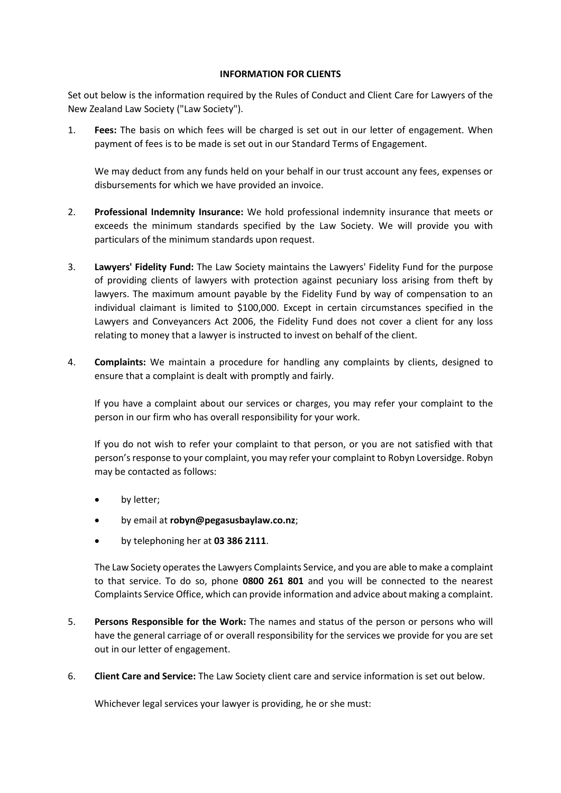## **INFORMATION FOR CLIENTS**

Set out below is the information required by the Rules of Conduct and Client Care for Lawyers of the New Zealand Law Society ("Law Society").

1. **Fees:** The basis on which fees will be charged is set out in our letter of engagement. When payment of fees is to be made is set out in our Standard Terms of Engagement.

We may deduct from any funds held on your behalf in our trust account any fees, expenses or disbursements for which we have provided an invoice.

- 2. **Professional Indemnity Insurance:** We hold professional indemnity insurance that meets or exceeds the minimum standards specified by the Law Society. We will provide you with particulars of the minimum standards upon request.
- 3. **Lawyers' Fidelity Fund:** The Law Society maintains the Lawyers' Fidelity Fund for the purpose of providing clients of lawyers with protection against pecuniary loss arising from theft by lawyers. The maximum amount payable by the Fidelity Fund by way of compensation to an individual claimant is limited to \$100,000. Except in certain circumstances specified in the Lawyers and Conveyancers Act 2006, the Fidelity Fund does not cover a client for any loss relating to money that a lawyer is instructed to invest on behalf of the client.
- 4. **Complaints:** We maintain a procedure for handling any complaints by clients, designed to ensure that a complaint is dealt with promptly and fairly.

If you have a complaint about our services or charges, you may refer your complaint to the person in our firm who has overall responsibility for your work.

If you do not wish to refer your complaint to that person, or you are not satisfied with that person's response to your complaint, you may refer your complaint to Robyn Loversidge. Robyn may be contacted as follows:

- by letter;
- by email at **robyn@pegasusbaylaw.co.nz**;
- by telephoning her at **03 386 2111**.

The Law Society operates the Lawyers Complaints Service, and you are able to make a complaint to that service. To do so, phone **0800 261 801** and you will be connected to the nearest Complaints Service Office, which can provide information and advice about making a complaint.

- 5. **Persons Responsible for the Work:** The names and status of the person or persons who will have the general carriage of or overall responsibility for the services we provide for you are set out in our letter of engagement.
- 6. **Client Care and Service:** The Law Society client care and service information is set out below.

Whichever legal services your lawyer is providing, he or she must: